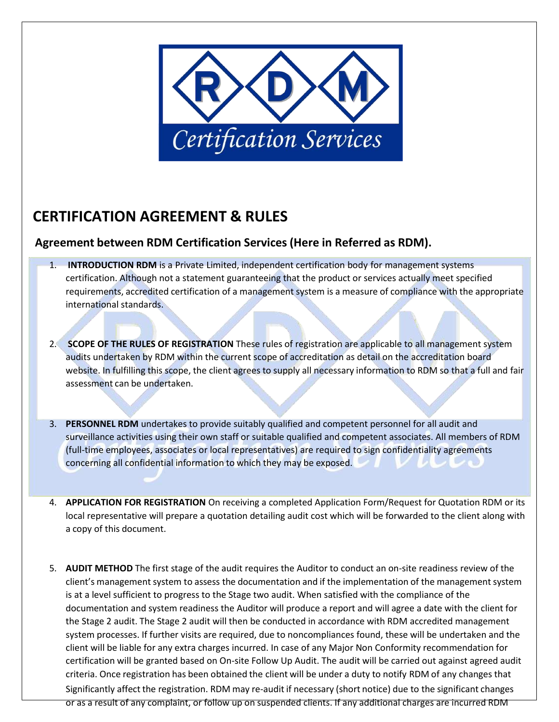

## **CERTIFICATION AGREEMENT & RULES**

## **Agreement between RDM Certification Services (Here in Referred as RDM).**

- 1. **INTRODUCTION RDM** is a Private Limited, independent certification body for management systems certification. Although not a statement guaranteeing that the product or services actually meet specified requirements, accredited certification of a management system is a measure of compliance with the appropriate international standards.
- 2. **SCOPE OF THE RULES OF REGISTRATION** These rules of registration are applicable to all management system audits undertaken by RDM within the current scope of accreditation as detail on the accreditation board website. In fulfilling this scope, the client agrees to supply all necessary information to RDM so that a full and fair assessment can be undertaken.
- 3. **PERSONNEL RDM** undertakes to provide suitably qualified and competent personnel for all audit and surveillance activities using their own staff or suitable qualified and competent associates. All members of RDM (full-time employees, associates or local representatives) are required to sign confidentiality agreements concerning all confidential information to which they may be exposed.
- 4. **APPLICATION FOR REGISTRATION** On receiving a completed Application Form/Request for Quotation RDM or its local representative will prepare a quotation detailing audit cost which will be forwarded to the client along with a copy of this document.
- 5. **AUDIT METHOD** The first stage of the audit requires the Auditor to conduct an on-site readiness review of the client's management system to assess the documentation and if the implementation of the management system is at a level sufficient to progress to the Stage two audit. When satisfied with the compliance of the documentation and system readiness the Auditor will produce a report and will agree a date with the client for the Stage 2 audit. The Stage 2 audit will then be conducted in accordance with RDM accredited management system processes. If further visits are required, due to noncompliances found, these will be undertaken and the client will be liable for any extra charges incurred. In case of any Major Non Conformity recommendation for certification will be granted based on On-site Follow Up Audit. The audit will be carried out against agreed audit criteria. Once registration has been obtained the client will be under a duty to notify RDM of any changes that Significantly affect the registration. RDM may re-audit if necessary (short notice) due to the significant changes or as a result of any complaint, or follow up on suspended clients. If any additional charges are incurred RDM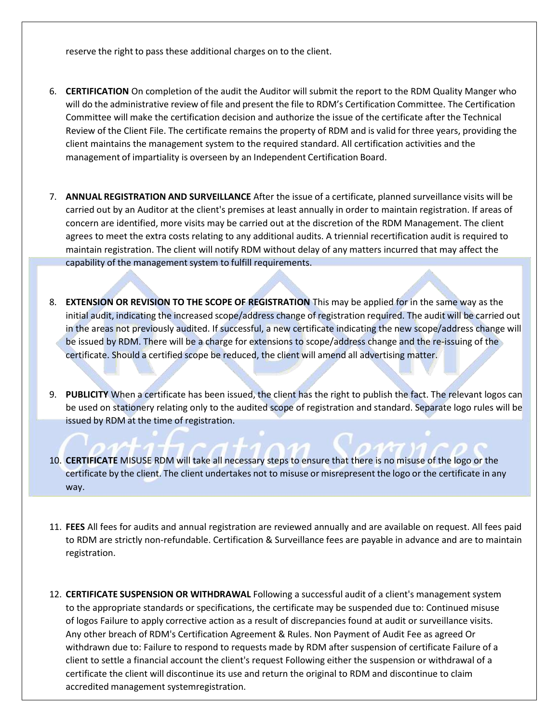reserve the right to pass these additional charges on to the client.

- 6. **CERTIFICATION** On completion of the audit the Auditor will submit the report to the RDM Quality Manger who will do the administrative review of file and present the file to RDM's Certification Committee. The Certification Committee will make the certification decision and authorize the issue of the certificate after the Technical Review of the Client File. The certificate remains the property of RDM and is valid for three years, providing the client maintains the management system to the required standard. All certification activities and the management of impartiality is overseen by an Independent Certification Board.
- 7. **ANNUAL REGISTRATION AND SURVEILLANCE** After the issue of a certificate, planned surveillance visits will be carried out by an Auditor at the client's premises at least annually in order to maintain registration. If areas of concern are identified, more visits may be carried out at the discretion of the RDM Management. The client agrees to meet the extra costs relating to any additional audits. A triennial recertification audit is required to maintain registration. The client will notify RDM without delay of any matters incurred that may affect the capability of the management system to fulfill requirements.
- 8. **EXTENSION OR REVISION TO THE SCOPE OF REGISTRATION** This may be applied for in the same way as the initial audit, indicating the increased scope/address change of registration required. The audit will be carried out in the areas not previously audited. If successful, a new certificate indicating the new scope/address change will be issued by RDM. There will be a charge for extensions to scope/address change and the re-issuing of the certificate. Should a certified scope be reduced, the client will amend all advertising matter.
- 9. **PUBLICITY** When a certificate has been issued, the client has the right to publish the fact. The relevant logos can be used on stationery relating only to the audited scope of registration and standard. Separate logo rules will be issued by RDM at the time of registration.
- 10. **CERTIFICATE** MISUSE RDM will take all necessary steps to ensure that there is no misuse of the logo or the certificate by the client. The client undertakes not to misuse or misrepresent the logo or the certificate in any way.
- 11. **FEES** All fees for audits and annual registration are reviewed annually and are available on request. All fees paid to RDM are strictly non-refundable. Certification & Surveillance fees are payable in advance and are to maintain registration.
- 12. **CERTIFICATE SUSPENSION OR WITHDRAWAL** Following a successful audit of a client's management system to the appropriate standards or specifications, the certificate may be suspended due to: Continued misuse of logos Failure to apply corrective action as a result of discrepancies found at audit or surveillance visits. Any other breach of RDM's Certification Agreement & Rules. Non Payment of Audit Fee as agreed Or withdrawn due to: Failure to respond to requests made by RDM after suspension of certificate Failure of a client to settle a financial account the client's request Following either the suspension or withdrawal of a certificate the client will discontinue its use and return the original to RDM and discontinue to claim accredited management systemregistration.